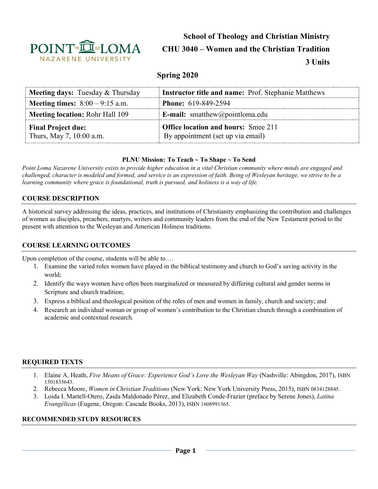

# **School of Theology and Christian Ministry CHU 3040 – Women and the Christian Tradition 3 Units**

# **Spring 2020**

| <b>Meeting days:</b> Tuesday & Thursday               | <b>Instructor title and name:</b> Prof. Stephanie Matthews                      |
|-------------------------------------------------------|---------------------------------------------------------------------------------|
| <b>Meeting times:</b> $8:00 - 9:15$ a.m.              | <b>Phone:</b> 619-849-2594                                                      |
| <b>Meeting location: Rohr Hall 109</b>                | <b>E-mail:</b> smatthew@pointloma.edu                                           |
| <b>Final Project due:</b><br>Thurs, May 7, 10:00 a.m. | <b>Office location and hours:</b> Smee 211<br>By appointment (set up via email) |

#### **PLNU Mission: To Teach ~ To Shape ~ To Send**

*Point Loma Nazarene University exists to provide higher education in a vital Christian community where minds are engaged and challenged, character is modeled and formed, and service is an expression of faith. Being of Wesleyan heritage, we strive to be a learning community where grace is foundational, truth is pursued, and holiness is a way of life.*

#### **COURSE DESCRIPTION**

A historical survey addressing the ideas, practices, and institutions of Christianity emphasizing the contribution and challenges of women as disciples, preachers, martyrs, writers and community leaders from the end of the New Testament period to the present with attention to the Wesleyan and American Holiness traditions.

#### **COURSE LEARNING OUTCOMES**

Upon completion of the course, students will be able to …

- 1. Examine the varied roles women have played in the biblical testimony and church to God's saving activity in the world;
- 2. Identify the ways women have often been marginalized or measured by differing cultural and gender norms in Scripture and church tradition;
- 3. Express a biblical and theological position of the roles of men and women in family, church and society; and
- 4. Research an individual woman or group of women's contribution to the Christian church through a combination of academic and contextual research.

#### **REQUIRED TEXTS**

- 1. Elaine A. Heath, *Five Means of Grace: Experience God's Love the Wesleyan Way* (Nashville: Abingdon, 2017), ISBN 1501835643.
- 2. Rebecca Moore, *Women in Christian Traditions* (New York: New York University Press, 2015), ISBN 0834128845.
- 3. Loida I. Martell-Otero, Zaida Maldonado Pérez, and Elizabeth Conde-Frazier (preface by Serene Jones), *Latina Evangélicas* (Eugene, Oregon: Cascade Books, 2013), ISBN 1608991365.

#### **RECOMMENDED STUDY RESOURCES**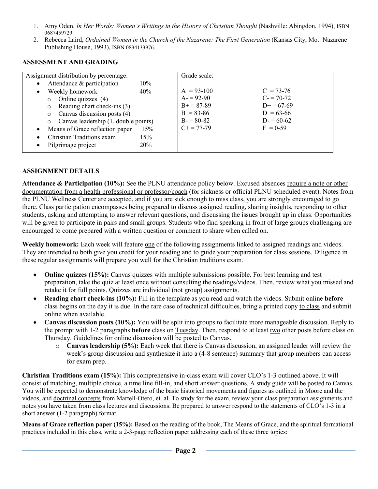- 1. Amy Oden, *In Her Words: Women's Writings in the History of Christian Thought* (Nashville: Abingdon, 1994), ISBN 0687459729.
- 2. Rebecca Laird, *Ordained Women in the Church of the Nazarene: The First Generation* (Kansas City, Mo.: Nazarene Publishing House, 1993), ISBN 0834133976.

| Assignment distribution by percentage:                                                                                                                                                                                                                                                                                                    |                          | Grade scale:                                                                                          |                                                                                      |
|-------------------------------------------------------------------------------------------------------------------------------------------------------------------------------------------------------------------------------------------------------------------------------------------------------------------------------------------|--------------------------|-------------------------------------------------------------------------------------------------------|--------------------------------------------------------------------------------------|
| Attendance & participation<br>$\bullet$<br>Weekly homework<br>$\bullet$<br>Online quizzes (4)<br>$\circ$<br>Reading chart check-ins (3)<br>$\circ$<br>Canvas discussion posts (4)<br>$\circ$<br>Canvas leadership (1, double points)<br>$\circ$<br>Means of Grace reflection paper<br>$\bullet$<br>Christian Traditions exam<br>$\bullet$ | 10%<br>40%<br>15%<br>15% | $A = 93-100$<br>$A = 92-90$<br>$B_{+} = 87 - 89$<br>$B = 83 - 86$<br>$B = 80-82$<br>$C_{+} = 77 - 79$ | $C = 73-76$<br>$C = 70-72$<br>$D+=67-69$<br>$D = 63-66$<br>$D = 60-62$<br>$F = 0.59$ |
| Pilgrimage project                                                                                                                                                                                                                                                                                                                        | <b>20%</b>               |                                                                                                       |                                                                                      |

#### **ASSESSMENT AND GRADING**

#### **ASSIGNMENT DETAILS**

**Attendance & Participation (10%):** See the PLNU attendance policy below. Excused absences require a note or other documentation from a health professional or professor/coach (for sickness or official PLNU scheduled event). Notes from the PLNU Wellness Center are accepted, and if you are sick enough to miss class, you are strongly encouraged to go there. Class participation encompasses being prepared to discuss assigned reading, sharing insights, responding to other students, asking and attempting to answer relevant questions, and discussing the issues brought up in class. Opportunities will be given to participate in pairs and small groups. Students who find speaking in front of large groups challenging are encouraged to come prepared with a written question or comment to share when called on.

**Weekly homework:** Each week will feature one of the following assignments linked to assigned readings and videos. They are intended to both give you credit for your reading and to guide your preparation for class sessions. Diligence in these regular assignments will prepare you well for the Christian traditions exam.

- **Online quizzes (15%):** Canvas quizzes with multiple submissions possible. For best learning and test preparation, take the quiz at least once without consulting the readings/videos. Then, review what you missed and retake it for full points. Quizzes are individual (not group) assignments.
- **Reading chart check-ins (10%):** Fill in the template as you read and watch the videos. Submit online **before**  class begins on the day it is due. In the rare case of technical difficulties, bring a printed copy to class and submit online when available.
- **Canvas discussion posts (10%):** You will be split into groups to facilitate more manageable discussion. Reply to the prompt with 1-2 paragraphs **before** class on Tuesday. Then, respond to at least two other posts before class on Thursday. Guidelines for online discussion will be posted to Canvas.
	- o **Canvas leadership (5%):** Each week that there is Canvas discussion, an assigned leader will review the week's group discussion and synthesize it into a (4-8 sentence) summary that group members can access for exam prep.

**Christian Traditions exam (15%):** This comprehensive in-class exam will cover CLO's 1-3 outlined above. It will consist of matching, multiple choice, a time line fill-in, and short answer questions. A study guide will be posted to Canvas. You will be expected to demonstrate knowledge of the basic historical movements and figures as outlined in Moore and the videos, and doctrinal concepts from Martell-Otero, et. al. To study for the exam, review your class preparation assignments and notes you have taken from class lectures and discussions. Be prepared to answer respond to the statements of CLO's 1-3 in a short answer (1-2 paragraph) format.

**Means of Grace reflection paper (15%):** Based on the reading of the book, The Means of Grace, and the spiritual formational practices included in this class, write a 2-3-page reflection paper addressing each of these three topics: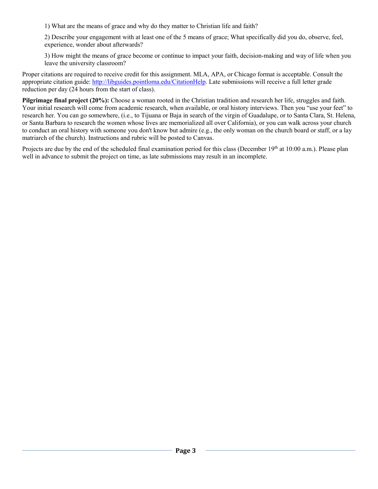1) What are the means of grace and why do they matter to Christian life and faith?

2) Describe your engagement with at least one of the 5 means of grace; What specifically did you do, observe, feel, experience, wonder about afterwards?

3) How might the means of grace become or continue to impact your faith, decision-making and way of life when you leave the university classroom?

Proper citations are required to receive credit for this assignment. MLA, APA, or Chicago format is acceptable. Consult the appropriate citation guide: [http://libguides.pointloma.edu/CitationHelp.](http://libguides.pointloma.edu/CitationHelp) Late submissions will receive a full letter grade reduction per day (24 hours from the start of class).

**Pilgrimage final project (20%):** Choose a woman rooted in the Christian tradition and research her life, struggles and faith. Your initial research will come from academic research, when available, or oral history interviews. Then you "use your feet" to research her. You can go somewhere, (i.e., to Tijuana or Baja in search of the virgin of Guadalupe, or to Santa Clara, St. Helena, or Santa Barbara to research the women whose lives are memorialized all over California), or you can walk across your church to conduct an oral history with someone you don't know but admire (e.g., the only woman on the church board or staff, or a lay matriarch of the church). Instructions and rubric will be posted to Canvas.

Projects are due by the end of the scheduled final examination period for this class (December 19th at 10:00 a.m.). Please plan well in advance to submit the project on time, as late submissions may result in an incomplete.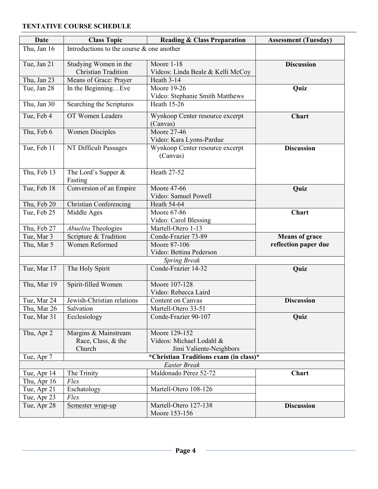## **TENTATIVE COURSE SCHEDULE**

| <b>Date</b> | <b>Class Topic</b>                           | <b>Reading &amp; Class Preparation</b>      | <b>Assessment (Tuesday)</b> |  |
|-------------|----------------------------------------------|---------------------------------------------|-----------------------------|--|
| Thu, Jan 16 | Introductions to the course $\&$ one another |                                             |                             |  |
| Tue, Jan 21 | Studying Women in the                        | Moore 1-18                                  | <b>Discussion</b>           |  |
|             | <b>Christian Tradition</b>                   | Videos: Linda Beale & Kelli McCoy           |                             |  |
| Thu, Jan 23 | Means of Grace: Prayer                       | Heath 3-14                                  |                             |  |
| Tue, Jan 28 | In the BeginningEve                          | Moore 19-26                                 | Quiz                        |  |
|             |                                              | Video: Stephanie Smith Matthews             |                             |  |
| Thu, Jan 30 | Searching the Scriptures                     | <b>Heath 15-26</b>                          |                             |  |
| Tue, Feb 4  | OT Women Leaders                             | Wynkoop Center resource excerpt             | <b>Chart</b>                |  |
|             |                                              | (Canvas)                                    |                             |  |
| Thu, Feb 6  | <b>Women Disciples</b>                       | Moore 27-46                                 |                             |  |
|             |                                              | Video: Kara Lyons-Pardue                    |                             |  |
| Tue, Feb 11 | NT Difficult Passages                        | Wynkoop Center resource excerpt<br>(Canvas) | <b>Discussion</b>           |  |
| Thu, Feb 13 | The Lord's Supper &<br>Fasting               | Heath 27-52                                 |                             |  |
| Tue, Feb 18 | Conversion of an Empire                      | <b>Moore 47-66</b>                          | Quiz                        |  |
|             |                                              | Video: Samuel Powell                        |                             |  |
| Thu, Feb 20 | <b>Christian Conferencing</b>                | <b>Heath 54-64</b>                          |                             |  |
| Tue, Feb 25 | Middle Ages                                  | Moore 67-86                                 | Chart                       |  |
|             |                                              | Video: Carol Blessing                       |                             |  |
| Thu, Feb 27 | Abuelita Theologies                          | Martell-Otero 1-13                          |                             |  |
| Tue, Mar 3  | Scripture & Tradition                        | Conde-Frazier 73-89                         | <b>Means of grace</b>       |  |
| Thu, Mar 5  | Women Reformed                               | Moore 87-106                                | reflection paper due        |  |
|             |                                              | Video: Bettina Pederson                     |                             |  |
|             |                                              | <b>Spring Break</b>                         |                             |  |
| Tue, Mar 17 | The Holy Spirit                              | Conde-Frazier 14-32                         | Quiz                        |  |
| Thu, Mar 19 | Spirit-filled Women                          | Moore 107-128                               |                             |  |
|             |                                              | Video: Rebecca Laird                        |                             |  |
| Tue, Mar 24 | Jewish-Christian relations                   | Content on Canvas                           | <b>Discussion</b>           |  |
| Thu, Mar 26 | Salvation                                    | Martell-Otero 33-51                         |                             |  |
| Tue, Mar 31 | Ecclesiology                                 | Conde-Frazier 90-107                        | Quiz                        |  |
| Thu, Apr 2  | Margins & Mainstream                         | Moore 129-152                               |                             |  |
|             | Race, Class, & the                           | Videos: Michael Lodahl &                    |                             |  |
|             | Church                                       | Jimi Valiente-Neighbors                     |                             |  |
| Tue, Apr 7  |                                              | *Christian Traditions exam (in class)*      |                             |  |
|             |                                              | <b>Easter Break</b>                         |                             |  |
| Tue, Apr 14 | The Trinity                                  | Maldonado Pérez 52-72                       | <b>Chart</b>                |  |
| Thu, Apr 16 | Flex                                         |                                             |                             |  |
| Tue, Apr 21 | Eschatology                                  | Martell-Otero 108-126                       |                             |  |
| Tue, Apr 23 | Flex                                         |                                             |                             |  |
| Tue, Apr 28 | Semester wrap-up                             | Martell-Otero 127-138                       | <b>Discussion</b>           |  |
|             |                                              | Moore 153-156                               |                             |  |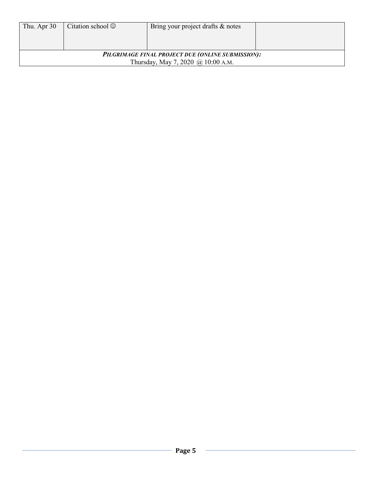| Thu, Apr 30                                       | Citation school $\odot$ | Bring your project drafts & notes |  |  |
|---------------------------------------------------|-------------------------|-----------------------------------|--|--|
|                                                   |                         |                                   |  |  |
|                                                   |                         |                                   |  |  |
| PILGRIMAGE FINAL PROJECT DUE (ONLINE SUBMISSION): |                         |                                   |  |  |
| Thursday, May 7, 2020 @ 10:00 A.M.                |                         |                                   |  |  |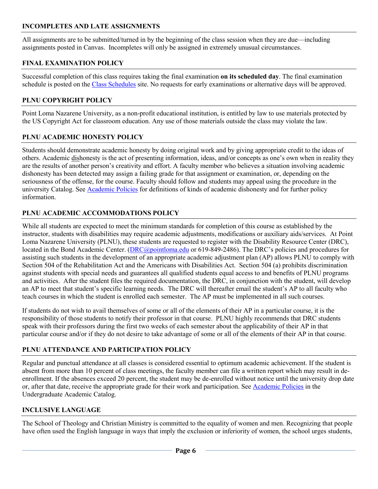#### **INCOMPLETES AND LATE ASSIGNMENTS**

All assignments are to be submitted/turned in by the beginning of the class session when they are due—including assignments posted in Canvas. Incompletes will only be assigned in extremely unusual circumstances.

# **FINAL EXAMINATION POLICY**

Successful completion of this class requires taking the final examination **on its scheduled day**. The final examination schedule is posted on th[e Class Schedules](http://www.pointloma.edu/experience/academics/class-schedules) site. No requests for early examinations or alternative days will be approved.

# **PLNU COPYRIGHT POLICY**

Point Loma Nazarene University, as a non-profit educational institution, is entitled by law to use materials protected by the US Copyright Act for classroom education. Any use of those materials outside the class may violate the law.

## **PLNU ACADEMIC HONESTY POLICY**

Students should demonstrate academic honesty by doing original work and by giving appropriate credit to the ideas of others. Academic dishonesty is the act of presenting information, ideas, and/or concepts as one's own when in reality they are the results of another person's creativity and effort. A faculty member who believes a situation involving academic dishonesty has been detected may assign a failing grade for that assignment or examination, or, depending on the seriousness of the offense, for the course. Faculty should follow and students may appeal using the procedure in the university Catalog. See [Academic Policies](http://catalog.pointloma.edu/content.php?catoid=18&navoid=1278) for definitions of kinds of academic dishonesty and for further policy information.

## **PLNU ACADEMIC ACCOMMODATIONS POLICY**

While all students are expected to meet the minimum standards for completion of this course as established by the instructor, students with disabilities may require academic adjustments, modifications or auxiliary aids/services. At Point Loma Nazarene University (PLNU), these students are requested to register with the Disability Resource Center (DRC), located in the Bond Academic Center. [\(DRC@pointloma.edu](mailto:DRC@pointloma.edu) or 619-849-2486). The DRC's policies and procedures for assisting such students in the development of an appropriate academic adjustment plan (AP) allows PLNU to comply with Section 504 of the Rehabilitation Act and the Americans with Disabilities Act. Section 504 (a) prohibits discrimination against students with special needs and guarantees all qualified students equal access to and benefits of PLNU programs and activities. After the student files the required documentation, the DRC, in conjunction with the student, will develop an AP to meet that student's specific learning needs. The DRC will thereafter email the student's AP to all faculty who teach courses in which the student is enrolled each semester. The AP must be implemented in all such courses.

If students do not wish to avail themselves of some or all of the elements of their AP in a particular course, it is the responsibility of those students to notify their professor in that course. PLNU highly recommends that DRC students speak with their professors during the first two weeks of each semester about the applicability of their AP in that particular course and/or if they do not desire to take advantage of some or all of the elements of their AP in that course.

## **PLNU ATTENDANCE AND PARTICIPATION POLICY**

Regular and punctual attendance at all classes is considered essential to optimum academic achievement. If the student is absent from more than 10 percent of class meetings, the faculty member can file a written report which may result in deenrollment. If the absences exceed 20 percent, the student may be de-enrolled without notice until the university drop date or, after that date, receive the appropriate grade for their work and participation. See [Academic Policies](http://catalog.pointloma.edu/content.php?catoid=18&navoid=1278) in the Undergraduate Academic Catalog.

## **INCLUSIVE LANGUAGE**

The School of Theology and Christian Ministry is committed to the equality of women and men. Recognizing that people have often used the English language in ways that imply the exclusion or inferiority of women, the school urges students,